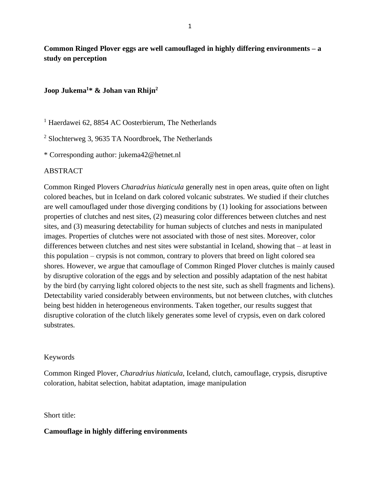**Common Ringed Plover eggs are well camouflaged in highly differing environments – a study on perception**

# **Joop Jukema<sup>1</sup> \* & Johan van Rhijn<sup>2</sup>**

<sup>1</sup> Haerdawei 62, 8854 AC Oosterbierum, The Netherlands

<sup>2</sup> Slochterweg 3, 9635 TA Noordbroek, The Netherlands

\* Corresponding author: jukema42@hetnet.nl

# ABSTRACT

Common Ringed Plovers *Charadrius hiaticula* generally nest in open areas, quite often on light colored beaches, but in Iceland on dark colored volcanic substrates. We studied if their clutches are well camouflaged under those diverging conditions by (1) looking for associations between properties of clutches and nest sites, (2) measuring color differences between clutches and nest sites, and (3) measuring detectability for human subjects of clutches and nests in manipulated images. Properties of clutches were not associated with those of nest sites. Moreover, color differences between clutches and nest sites were substantial in Iceland, showing that – at least in this population – crypsis is not common, contrary to plovers that breed on light colored sea shores. However, we argue that camouflage of Common Ringed Plover clutches is mainly caused by disruptive coloration of the eggs and by selection and possibly adaptation of the nest habitat by the bird (by carrying light colored objects to the nest site, such as shell fragments and lichens). Detectability varied considerably between environments, but not between clutches, with clutches being best hidden in heterogeneous environments. Taken together, our results suggest that disruptive coloration of the clutch likely generates some level of crypsis, even on dark colored substrates.

### Keywords

Common Ringed Plover, *Charadrius hiaticula*, Iceland, clutch, camouflage, crypsis, disruptive coloration, habitat selection, habitat adaptation, image manipulation

## Short title:

### **Camouflage in highly differing environments**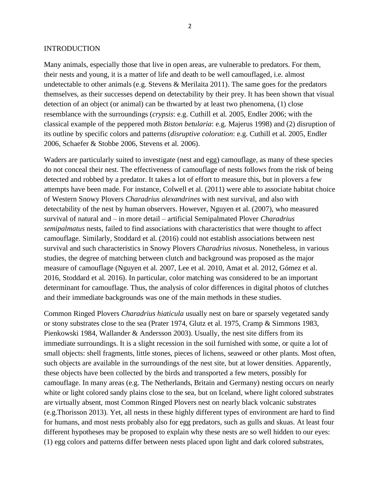#### INTRODUCTION

Many animals, especially those that live in open areas, are vulnerable to predators. For them, their nests and young, it is a matter of life and death to be well camouflaged, i.e. almost undetectable to other animals (e.g. Stevens & Merilaita 2011). The same goes for the predators themselves, as their successes depend on detectability by their prey. It has been shown that visual detection of an object (or animal) can be thwarted by at least two phenomena, (1) close resemblance with the surroundings (*crypsis*: e.g. Cuthill et al. 2005, Endler 2006; with the classical example of the peppered moth *Biston betularia*: e.g. Majerus 1998) and (2) disruption of its outline by specific colors and patterns (*disruptive coloration*: e.g. Cuthill et al. 2005, Endler 2006, Schaefer & Stobbe 2006, Stevens et al. 2006).

Waders are particularly suited to investigate (nest and egg) camouflage, as many of these species do not conceal their nest. The effectiveness of camouflage of nests follows from the risk of being detected and robbed by a predator. It takes a lot of effort to measure this, but in plovers a few attempts have been made. For instance, Colwell et al. (2011) were able to associate habitat choice of Western Snowy Plovers *Charadrius alexandrines* with nest survival, and also with detectability of the nest by human observers. However, Nguyen et al. (2007), who measured survival of natural and – in more detail – artificial Semipalmated Plover *Charadrius semipalmatus* nests, failed to find associations with characteristics that were thought to affect camouflage. Similarly, Stoddard et al. (2016) could not establish associations between nest survival and such characteristics in Snowy Plovers *Charadrius nivosus*. Nonetheless, in various studies, the degree of matching between clutch and background was proposed as the major measure of camouflage (Nguyen et al. 2007, Lee et al. 2010, Amat et al. 2012, Gómez et al. 2016, Stoddard et al. 2016). In particular, color matching was considered to be an important determinant for camouflage. Thus, the analysis of color differences in digital photos of clutches and their immediate backgrounds was one of the main methods in these studies.

Common Ringed Plovers *Charadrius hiaticula* usually nest on bare or sparsely vegetated sandy or stony substrates close to the sea (Prater 1974, Glutz et al. 1975, Cramp & Simmons 1983, Pienkowski 1984, Wallander & Andersson 2003). Usually, the nest site differs from its immediate surroundings. It is a slight recession in the soil furnished with some, or quite a lot of small objects: shell fragments, little stones, pieces of lichens, seaweed or other plants. Most often, such objects are available in the surroundings of the nest site, but at lower densities. Apparently, these objects have been collected by the birds and transported a few meters, possibly for camouflage. In many areas (e.g. The Netherlands, Britain and Germany) nesting occurs on nearly white or light colored sandy plains close to the sea, but on Iceland, where light colored substrates are virtually absent, most Common Ringed Plovers nest on nearly black volcanic substrates (e.g.Thorisson 2013). Yet, all nests in these highly different types of environment are hard to find for humans, and most nests probably also for egg predators, such as gulls and skuas. At least four different hypotheses may be proposed to explain why these nests are so well hidden to our eyes: (1) egg colors and patterns differ between nests placed upon light and dark colored substrates,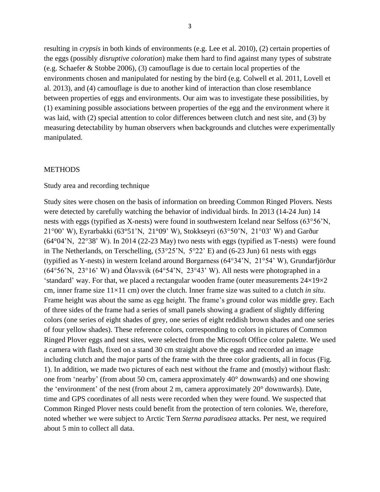resulting in *crypsis* in both kinds of environments (e.g. Lee et al. 2010), (2) certain properties of the eggs (possibly *disruptive coloration*) make them hard to find against many types of substrate (e.g. Schaefer & Stobbe 2006), (3) camouflage is due to certain local properties of the environments chosen and manipulated for nesting by the bird (e.g. Colwell et al. 2011, Lovell et al. 2013), and (4) camouflage is due to another kind of interaction than close resemblance between properties of eggs and environments. Our aim was to investigate these possibilities, by (1) examining possible associations between properties of the egg and the environment where it was laid, with (2) special attention to color differences between clutch and nest site, and (3) by measuring detectability by human observers when backgrounds and clutches were experimentally manipulated.

#### **METHODS**

## Study area and recording technique

Study sites were chosen on the basis of information on breeding Common Ringed Plovers. Nests were detected by carefully watching the behavior of individual birds. In 2013 (14-24 Jun) 14 nests with eggs (typified as X-nests) were found in southwestern Iceland near Selfoss (63°56'N, 21°00' W), Eyrarbakki (63°51'N, 21°09' W), Stokkseyri (63°50'N, 21°03' W) and Garður (64°04'N, 22°38' W). In 2014 (22-23 May) two nests with eggs (typified as T-nests) were found in The Netherlands, on Terschelling,  $(53^{\circ}25^{\circ}N, 5^{\circ}22^{\circ}E)$  and  $(6-23 \text{ Jun})$  61 nests with eggs (typified as Y-nests) in western Iceland around Borgarness (64°34'N, 21°54' W), Grundarfjörður  $(64°56'N, 23°16' W)$  and Ólavsvik  $(64°54'N, 23°43' W)$ . All nests were photographed in a 'standard' way. For that, we placed a rectangular wooden frame (outer measurements  $24\times19\times2$ cm, inner frame size 11×11 cm) over the clutch. Inner frame size was suited to a clutch *in situ*. Frame height was about the same as egg height. The frame's ground color was middle grey. Each of three sides of the frame had a series of small panels showing a gradient of slightly differing colors (one series of eight shades of grey, one series of eight reddish brown shades and one series of four yellow shades). These reference colors, corresponding to colors in pictures of Common Ringed Plover eggs and nest sites, were selected from the Microsoft Office color palette. We used a camera with flash, fixed on a stand 30 cm straight above the eggs and recorded an image including clutch and the major parts of the frame with the three color gradients, all in focus (Fig. 1). In addition, we made two pictures of each nest without the frame and (mostly) without flash: one from 'nearby' (from about 50 cm, camera approximately 40° downwards) and one showing the 'environment' of the nest (from about 2 m, camera approximately 20° downwards). Date, time and GPS coordinates of all nests were recorded when they were found. We suspected that Common Ringed Plover nests could benefit from the protection of tern colonies. We, therefore, noted whether we were subject to Arctic Tern *Sterna paradisaea* attacks. Per nest, we required about 5 min to collect all data.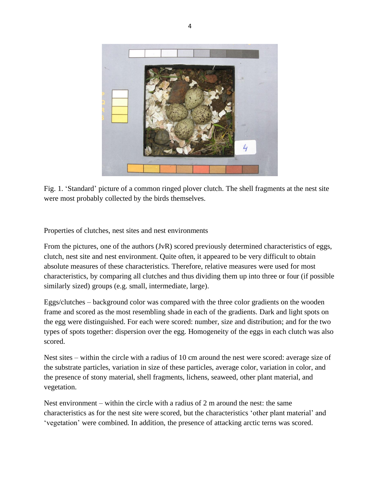

Fig. 1. 'Standard' picture of a common ringed plover clutch. The shell fragments at the nest site were most probably collected by the birds themselves.

Properties of clutches, nest sites and nest environments

From the pictures, one of the authors (JvR) scored previously determined characteristics of eggs, clutch, nest site and nest environment. Quite often, it appeared to be very difficult to obtain absolute measures of these characteristics. Therefore, relative measures were used for most characteristics, by comparing all clutches and thus dividing them up into three or four (if possible similarly sized) groups (e.g. small, intermediate, large).

Eggs/clutches – background color was compared with the three color gradients on the wooden frame and scored as the most resembling shade in each of the gradients. Dark and light spots on the egg were distinguished. For each were scored: number, size and distribution; and for the two types of spots together: dispersion over the egg. Homogeneity of the eggs in each clutch was also scored.

Nest sites – within the circle with a radius of 10 cm around the nest were scored: average size of the substrate particles, variation in size of these particles, average color, variation in color, and the presence of stony material, shell fragments, lichens, seaweed, other plant material, and vegetation.

Nest environment – within the circle with a radius of 2 m around the nest: the same characteristics as for the nest site were scored, but the characteristics 'other plant material' and 'vegetation' were combined. In addition, the presence of attacking arctic terns was scored.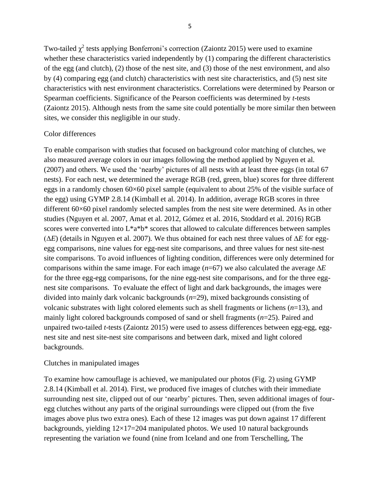Two-tailed  $\chi^2$  tests applying Bonferroni's correction (Zaiontz 2015) were used to examine whether these characteristics varied independently by (1) comparing the different characteristics of the egg (and clutch), (2) those of the nest site, and (3) those of the nest environment, and also by (4) comparing egg (and clutch) characteristics with nest site characteristics, and (5) nest site characteristics with nest environment characteristics. Correlations were determined by Pearson or Spearman coefficients. Significance of the Pearson coefficients was determined by *t*-tests (Zaiontz 2015). Although nests from the same site could potentially be more similar then between sites, we consider this negligible in our study.

## Color differences

To enable comparison with studies that focused on background color matching of clutches, we also measured average colors in our images following the method applied by Nguyen et al. (2007) and others. We used the 'nearby' pictures of all nests with at least three eggs (in total 67 nests). For each nest, we determined the average RGB (red, green, blue) scores for three different eggs in a randomly chosen 60×60 pixel sample (equivalent to about 25% of the visible surface of the egg) using GYMP 2.8.14 (Kimball et al. 2014). In addition, average RGB scores in three different 60×60 pixel randomly selected samples from the nest site were determined. As in other studies (Nguyen et al. 2007, Amat et al. 2012, Gómez et al. 2016, Stoddard et al. 2016) RGB scores were converted into  $L^*a^*b^*$  scores that allowed to calculate differences between samples (∆*E*) (details in Nguyen et al. 2007). We thus obtained for each nest three values of ∆*E* for eggegg comparisons, nine values for egg-nest site comparisons, and three values for nest site-nest site comparisons. To avoid influences of lighting condition, differences were only determined for comparisons within the same image. For each image  $(n=67)$  we also calculated the average  $\Delta E$ for the three egg-egg comparisons, for the nine egg-nest site comparisons, and for the three eggnest site comparisons. To evaluate the effect of light and dark backgrounds, the images were divided into mainly dark volcanic backgrounds (*n*=29), mixed backgrounds consisting of volcanic substrates with light colored elements such as shell fragments or lichens (*n*=13), and mainly light colored backgrounds composed of sand or shell fragments (*n*=25). Paired and unpaired two-tailed *t*-tests (Zaiontz 2015) were used to assess differences between egg-egg, eggnest site and nest site-nest site comparisons and between dark, mixed and light colored backgrounds.

### Clutches in manipulated images

To examine how camouflage is achieved, we manipulated our photos (Fig. 2) using GYMP 2.8.14 (Kimball et al. 2014). First, we produced five images of clutches with their immediate surrounding nest site, clipped out of our 'nearby' pictures. Then, seven additional images of fouregg clutches without any parts of the original surroundings were clipped out (from the five images above plus two extra ones). Each of these 12 images was put down against 17 different backgrounds, yielding  $12\times17=204$  manipulated photos. We used 10 natural backgrounds representing the variation we found (nine from Iceland and one from Terschelling, The

5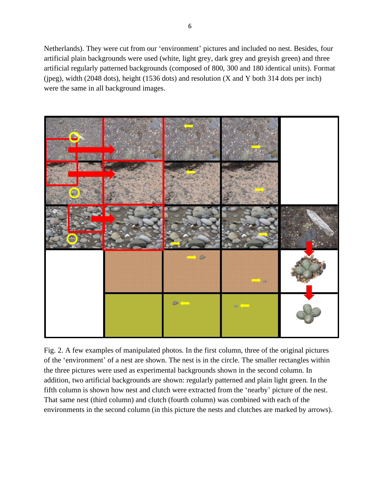Netherlands). They were cut from our 'environment' pictures and included no nest. Besides, four artificial plain backgrounds were used (white, light grey, dark grey and greyish green) and three artificial regularly patterned backgrounds (composed of 800, 300 and 180 identical units). Format (jpeg), width (2048 dots), height (1536 dots) and resolution (X and Y both 314 dots per inch) were the same in all background images.



Fig. 2. A few examples of manipulated photos. In the first column, three of the original pictures of the 'environment' of a nest are shown. The nest is in the circle. The smaller rectangles within the three pictures were used as experimental backgrounds shown in the second column. In addition, two artificial backgrounds are shown: regularly patterned and plain light green. In the fifth column is shown how nest and clutch were extracted from the 'nearby' picture of the nest. That same nest (third column) and clutch (fourth column) was combined with each of the environments in the second column (in this picture the nests and clutches are marked by arrows).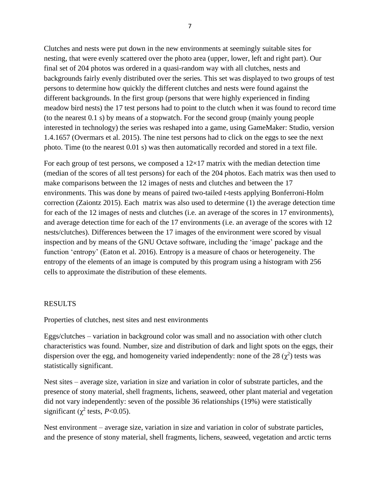Clutches and nests were put down in the new environments at seemingly suitable sites for nesting, that were evenly scattered over the photo area (upper, lower, left and right part). Our final set of 204 photos was ordered in a quasi-random way with all clutches, nests and backgrounds fairly evenly distributed over the series. This set was displayed to two groups of test persons to determine how quickly the different clutches and nests were found against the different backgrounds. In the first group (persons that were highly experienced in finding meadow bird nests) the 17 test persons had to point to the clutch when it was found to record time (to the nearest 0.1 s) by means of a stopwatch. For the second group (mainly young people interested in technology) the series was reshaped into a game, using GameMaker: Studio, version 1.4.1657 (Overmars et al. 2015). The nine test persons had to click on the eggs to see the next photo. Time (to the nearest 0.01 s) was then automatically recorded and stored in a text file.

For each group of test persons, we composed a  $12\times17$  matrix with the median detection time (median of the scores of all test persons) for each of the 204 photos. Each matrix was then used to make comparisons between the 12 images of nests and clutches and between the 17 environments. This was done by means of paired two-tailed *t*-tests applying Bonferroni-Holm correction (Zaiontz 2015). Each matrix was also used to determine (1) the average detection time for each of the 12 images of nests and clutches (i.e. an average of the scores in 17 environments), and average detection time for each of the 17 environments (i.e. an average of the scores with 12 nests/clutches). Differences between the 17 images of the environment were scored by visual inspection and by means of the GNU Octave software, including the 'image' package and the function 'entropy' (Eaton et al. 2016). Entropy is a measure of chaos or heterogeneity. The entropy of the elements of an image is computed by this program using a histogram with 256 cells to approximate the distribution of these elements.

# **RESULTS**

Properties of clutches, nest sites and nest environments

Eggs/clutches – variation in background color was small and no association with other clutch characteristics was found. Number, size and distribution of dark and light spots on the eggs, their dispersion over the egg, and homogeneity varied independently: none of the 28  $(\chi^2)$  tests was statistically significant.

Nest sites – average size, variation in size and variation in color of substrate particles, and the presence of stony material, shell fragments, lichens, seaweed, other plant material and vegetation did not vary independently: seven of the possible 36 relationships (19%) were statistically significant ( $\chi^2$  tests, *P*<0.05).

Nest environment – average size, variation in size and variation in color of substrate particles, and the presence of stony material, shell fragments, lichens, seaweed, vegetation and arctic terns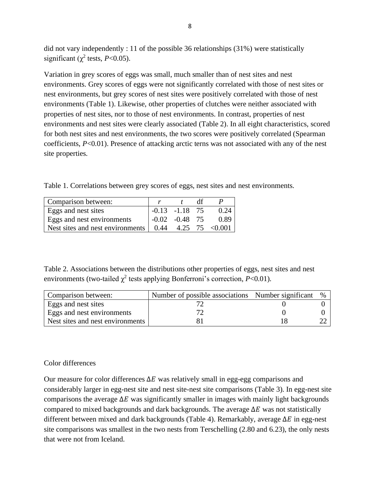did not vary independently : 11 of the possible 36 relationships (31%) were statistically significant ( $\chi^2$  tests, *P*<0.05).

Variation in grey scores of eggs was small, much smaller than of nest sites and nest environments. Grey scores of eggs were not significantly correlated with those of nest sites or nest environments, but grey scores of nest sites were positively correlated with those of nest environments (Table 1). Likewise, other properties of clutches were neither associated with properties of nest sites, nor to those of nest environments. In contrast, properties of nest environments and nest sites were clearly associated (Table 2). In all eight characteristics, scored for both nest sites and nest environments, the two scores were positively correlated (Spearman coefficients, *P*<0.01). Presence of attacking arctic terns was not associated with any of the nest site properties.

Table 1. Correlations between grey scores of eggs, nest sites and nest environments.

| Comparison between:                                                   |                  |      |
|-----------------------------------------------------------------------|------------------|------|
| Eggs and nest sites                                                   | $-0.13 -1.18$ 75 | 0.24 |
| Eggs and nest environments                                            | $-0.02 -0.48$ 75 | 0.89 |
| Nest sites and nest environments $\vert$ 0.44 4.25 75 < 0.001 $\vert$ |                  |      |

Table 2. Associations between the distributions other properties of eggs, nest sites and nest environments (two-tailed  $\chi^2$  tests applying Bonferroni's correction,  $P<0.01$ ).

| Comparison between:               | Number of possible associations Number significant % |  |
|-----------------------------------|------------------------------------------------------|--|
| Eggs and nest sites               |                                                      |  |
| <b>Eggs</b> and nest environments |                                                      |  |
| Nest sites and nest environments  |                                                      |  |

# Color differences

Our measure for color differences  $\Delta E$  was relatively small in egg-egg comparisons and considerably larger in egg-nest site and nest site-nest site comparisons (Table 3). In egg-nest site comparisons the average  $\Delta E$  was significantly smaller in images with mainly light backgrounds compared to mixed backgrounds and dark backgrounds. The average  $\Delta E$  was not statistically different between mixed and dark backgrounds (Table 4). Remarkably, average  $\Delta E$  in egg-nest site comparisons was smallest in the two nests from Terschelling (2.80 and 6.23), the only nests that were not from Iceland.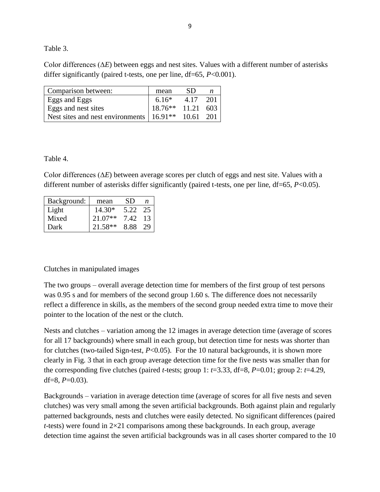Table 3.

Color differences (∆*E*) between eggs and nest sites. Values with a different number of asterisks differ significantly (paired t-tests, one per line, df=65, *P*<0.001).

| Comparison between:                                              | mean                | -SD  |      |
|------------------------------------------------------------------|---------------------|------|------|
| <b>Eggs</b> and Eggs                                             | $6.16*$             | 4.17 | -201 |
| Eggs and nest sites                                              | $18.76**$ 11.21 603 |      |      |
| Nest sites and nest environments   16.91 <sup>**</sup> 10.61 201 |                     |      |      |

Table 4.

Color differences (∆*E*) between average scores per clutch of eggs and nest site. Values with a different number of asterisks differ significantly (paired t-tests, one per line, df=65, *P*<0.05).

| Background: | mean      | SD   | n  |
|-------------|-----------|------|----|
| Light       | $14.30*$  | 5.22 | 25 |
| Mixed       | $21.07**$ | 7.42 | 13 |
| Dark        | $21.58**$ | 8.88 | 29 |

# Clutches in manipulated images

The two groups – overall average detection time for members of the first group of test persons was 0.95 s and for members of the second group 1.60 s. The difference does not necessarily reflect a difference in skills, as the members of the second group needed extra time to move their pointer to the location of the nest or the clutch.

Nests and clutches – variation among the 12 images in average detection time (average of scores for all 17 backgrounds) where small in each group, but detection time for nests was shorter than for clutches (two-tailed Sign-test, *P*<0.05). For the 10 natural backgrounds, it is shown more clearly in Fig. 3 that in each group average detection time for the five nests was smaller than for the corresponding five clutches (paired *t*-tests; group 1: *t*=3.33, df=8, *P*=0.01; group 2: *t*=4.29, df=8,  $P=0.03$ ).

Backgrounds – variation in average detection time (average of scores for all five nests and seven clutches) was very small among the seven artificial backgrounds. Both against plain and regularly patterned backgrounds, nests and clutches were easily detected. No significant differences (paired *t*-tests) were found in  $2\times21$  comparisons among these backgrounds. In each group, average detection time against the seven artificial backgrounds was in all cases shorter compared to the 10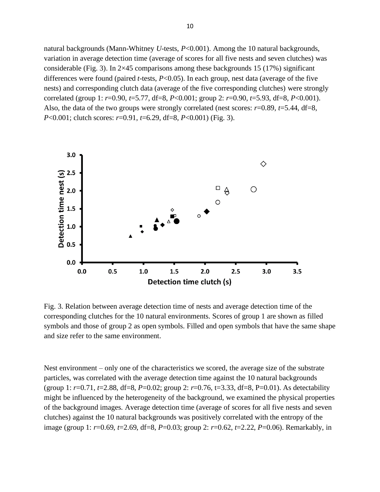natural backgrounds (Mann-Whitney *U*-tests, *P*<0.001). Among the 10 natural backgrounds, variation in average detection time (average of scores for all five nests and seven clutches) was considerable (Fig. 3). In 2×45 comparisons among these backgrounds 15 (17%) significant differences were found (paired *t*-tests, *P*<0.05). In each group, nest data (average of the five nests) and corresponding clutch data (average of the five corresponding clutches) were strongly correlated (group 1: *r*=0.90, *t*=5.77, df=8, *P*<0.001; group 2: *r*=0.90, *t*=5.93, df=8, *P*<0.001). Also, the data of the two groups were strongly correlated (nest scores: *r*=0.89, *t*=5.44, df=8, *P*<0.001; clutch scores: *r*=0.91, *t*=6.29, df=8, *P*<0.001) (Fig. 3).



Fig. 3. Relation between average detection time of nests and average detection time of the corresponding clutches for the 10 natural environments. Scores of group 1 are shown as filled symbols and those of group 2 as open symbols. Filled and open symbols that have the same shape and size refer to the same environment.

Nest environment – only one of the characteristics we scored, the average size of the substrate particles, was correlated with the average detection time against the 10 natural backgrounds (group 1: *r*=0.71, *t*=2.88, df=8, *P*=0.02; group 2: *r*=0.76, t=3.33, df=8, P=0.01). As detectability might be influenced by the heterogeneity of the background, we examined the physical properties of the background images. Average detection time (average of scores for all five nests and seven clutches) against the 10 natural backgrounds was positively correlated with the entropy of the image (group 1: *r*=0.69, *t*=2.69, df=8, *P*=0.03; group 2: *r*=0.62, *t*=2.22, *P*=0.06). Remarkably, in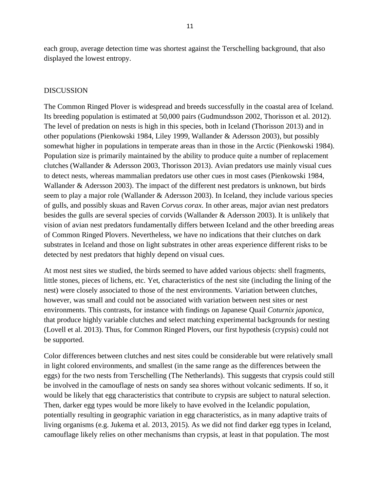each group, average detection time was shortest against the Terschelling background, that also displayed the lowest entropy.

## DISCUSSION

The Common Ringed Plover is widespread and breeds successfully in the coastal area of Iceland. Its breeding population is estimated at 50,000 pairs (Gudmundsson 2002, Thorisson et al. 2012). The level of predation on nests is high in this species, both in Iceland (Thorisson 2013) and in other populations (Pienkowski 1984, Liley 1999, Wallander & Adersson 2003), but possibly somewhat higher in populations in temperate areas than in those in the Arctic (Pienkowski 1984). Population size is primarily maintained by the ability to produce quite a number of replacement clutches (Wallander & Adersson 2003, Thorisson 2013). Avian predators use mainly visual cues to detect nests, whereas mammalian predators use other cues in most cases (Pienkowski 1984, Wallander & Adersson 2003). The impact of the different nest predators is unknown, but birds seem to play a major role (Wallander & Adersson 2003). In Iceland, they include various species of gulls, and possibly skuas and Raven *Corvus corax*. In other areas, major avian nest predators besides the gulls are several species of corvids (Wallander & Adersson 2003). It is unlikely that vision of avian nest predators fundamentally differs between Iceland and the other breeding areas of Common Ringed Plovers. Nevertheless, we have no indications that their clutches on dark substrates in Iceland and those on light substrates in other areas experience different risks to be detected by nest predators that highly depend on visual cues.

At most nest sites we studied, the birds seemed to have added various objects: shell fragments, little stones, pieces of lichens, etc. Yet, characteristics of the nest site (including the lining of the nest) were closely associated to those of the nest environments. Variation between clutches, however, was small and could not be associated with variation between nest sites or nest environments. This contrasts, for instance with findings on Japanese Quail *Coturnix japonica*, that produce highly variable clutches and select matching experimental backgrounds for nesting (Lovell et al. 2013). Thus, for Common Ringed Plovers, our first hypothesis (crypsis) could not be supported.

Color differences between clutches and nest sites could be considerable but were relatively small in light colored environments, and smallest (in the same range as the differences between the eggs) for the two nests from Terschelling (The Netherlands). This suggests that crypsis could still be involved in the camouflage of nests on sandy sea shores without volcanic sediments. If so, it would be likely that egg characteristics that contribute to crypsis are subject to natural selection. Then, darker egg types would be more likely to have evolved in the Icelandic population, potentially resulting in geographic variation in egg characteristics, as in many adaptive traits of living organisms (e.g. Jukema et al. 2013, 2015). As we did not find darker egg types in Iceland, camouflage likely relies on other mechanisms than crypsis, at least in that population. The most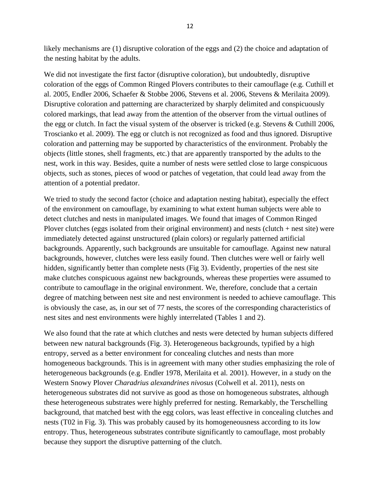likely mechanisms are (1) disruptive coloration of the eggs and (2) the choice and adaptation of the nesting habitat by the adults.

We did not investigate the first factor (disruptive coloration), but undoubtedly, disruptive coloration of the eggs of Common Ringed Plovers contributes to their camouflage (e.g. Cuthill et al. 2005, Endler 2006, Schaefer & Stobbe 2006, Stevens et al. 2006, Stevens & Merilaita 2009). Disruptive coloration and patterning are characterized by sharply delimited and conspicuously colored markings, that lead away from the attention of the observer from the virtual outlines of the egg or clutch. In fact the visual system of the observer is tricked (e.g. Stevens & Cuthill 2006, Troscianko et al. 2009). The egg or clutch is not recognized as food and thus ignored. Disruptive coloration and patterning may be supported by characteristics of the environment. Probably the objects (little stones, shell fragments, etc.) that are apparently transported by the adults to the nest, work in this way. Besides, quite a number of nests were settled close to large conspicuous objects, such as stones, pieces of wood or patches of vegetation, that could lead away from the attention of a potential predator.

We tried to study the second factor (choice and adaptation nesting habitat), especially the effect of the environment on camouflage, by examining to what extent human subjects were able to detect clutches and nests in manipulated images. We found that images of Common Ringed Plover clutches (eggs isolated from their original environment) and nests (clutch + nest site) were immediately detected against unstructured (plain colors) or regularly patterned artificial backgrounds. Apparently, such backgrounds are unsuitable for camouflage. Against new natural backgrounds, however, clutches were less easily found. Then clutches were well or fairly well hidden, significantly better than complete nests (Fig 3). Evidently, properties of the nest site make clutches conspicuous against new backgrounds, whereas these properties were assumed to contribute to camouflage in the original environment. We, therefore, conclude that a certain degree of matching between nest site and nest environment is needed to achieve camouflage. This is obviously the case, as, in our set of 77 nests, the scores of the corresponding characteristics of nest sites and nest environments were highly interrelated (Tables 1 and 2).

We also found that the rate at which clutches and nests were detected by human subjects differed between new natural backgrounds (Fig. 3). Heterogeneous backgrounds, typified by a high entropy, served as a better environment for concealing clutches and nests than more homogeneous backgrounds. This is in agreement with many other studies emphasizing the role of heterogeneous backgrounds (e.g. Endler 1978, Merilaita et al. 2001). However, in a study on the Western Snowy Plover *Charadrius alexandrines nivosus* (Colwell et al. 2011), nests on heterogeneous substrates did not survive as good as those on homogeneous substrates, although these heterogeneous substrates were highly preferred for nesting. Remarkably, the Terschelling background, that matched best with the egg colors, was least effective in concealing clutches and nests (T02 in Fig. 3). This was probably caused by its homogeneousness according to its low entropy. Thus, heterogeneous substrates contribute significantly to camouflage, most probably because they support the disruptive patterning of the clutch.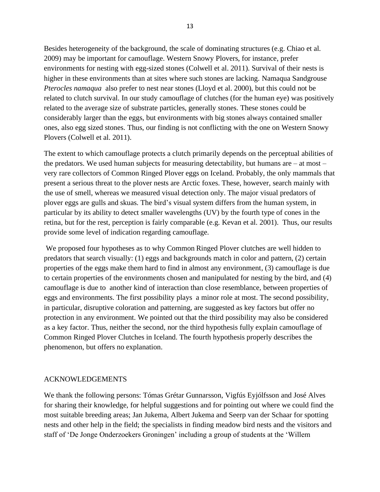Besides heterogeneity of the background, the scale of dominating structures (e.g. Chiao et al. 2009) may be important for camouflage. Western Snowy Plovers, for instance, prefer environments for nesting with egg-sized stones (Colwell et al. 2011). Survival of their nests is higher in these environments than at sites where such stones are lacking. Namaqua Sandgrouse *Pterocles namaqua* also prefer to nest near stones (Lloyd et al. 2000), but this could not be related to clutch survival. In our study camouflage of clutches (for the human eye) was positively related to the average size of substrate particles, generally stones. These stones could be considerably larger than the eggs, but environments with big stones always contained smaller ones, also egg sized stones. Thus, our finding is not conflicting with the one on Western Snowy Plovers (Colwell et al. 2011).

The extent to which camouflage protects a clutch primarily depends on the perceptual abilities of the predators. We used human subjects for measuring detectability, but humans are – at most – very rare collectors of Common Ringed Plover eggs on Iceland. Probably, the only mammals that present a serious threat to the plover nests are Arctic foxes. These, however, search mainly with the use of smell, whereas we measured visual detection only. The major visual predators of plover eggs are gulls and skuas. The bird's visual system differs from the human system, in particular by its ability to detect smaller wavelengths (UV) by the fourth type of cones in the retina, but for the rest, perception is fairly comparable (e.g. Kevan et al. 2001). Thus, our results provide some level of indication regarding camouflage.

We proposed four hypotheses as to why Common Ringed Plover clutches are well hidden to predators that search visually: (1) eggs and backgrounds match in color and pattern, (2) certain properties of the eggs make them hard to find in almost any environment, (3) camouflage is due to certain properties of the environments chosen and manipulated for nesting by the bird, and (4) camouflage is due to another kind of interaction than close resemblance, between properties of eggs and environments. The first possibility plays a minor role at most. The second possibility, in particular, disruptive coloration and patterning, are suggested as key factors but offer no protection in any environment. We pointed out that the third possibility may also be considered as a key factor. Thus, neither the second, nor the third hypothesis fully explain camouflage of Common Ringed Plover Clutches in Iceland. The fourth hypothesis properly describes the phenomenon, but offers no explanation.

### ACKNOWLEDGEMENTS

We thank the following persons: Tómas Grétar Gunnarsson, Vigfús Eyjólfsson and José Alves for sharing their knowledge, for helpful suggestions and for pointing out where we could find the most suitable breeding areas; Jan Jukema, Albert Jukema and Seerp van der Schaar for spotting nests and other help in the field; the specialists in finding meadow bird nests and the visitors and staff of 'De Jonge Onderzoekers Groningen' including a group of students at the 'Willem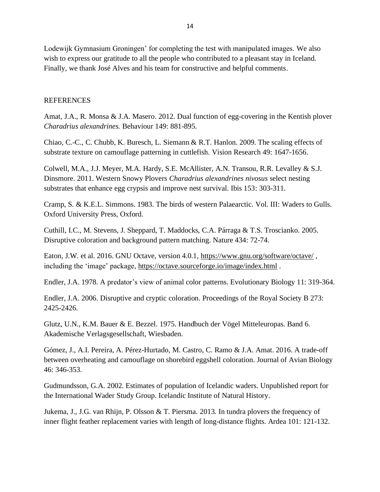Lodewijk Gymnasium Groningen' for completing the test with manipulated images. We also wish to express our gratitude to all the people who contributed to a pleasant stay in Iceland. Finally, we thank José Alves and his team for constructive and helpful comments.

# **REFERENCES**

Amat, J.A., R. Monsa & J.A. Masero. 2012. Dual function of egg-covering in the Kentish plover *Charadrius alexandrines.* Behaviour 149: 881-895.

Chiao, C.-C., C. Chubb, K. Buresch, L. Siemann & R.T. Hanlon. 2009. The scaling effects of substrate texture on camouflage patterning in cuttlefish. Vision Research 49: 1647-1656.

Colwell, M.A., J.J. Meyer, M.A. Hardy, S.E. McAllister, A.N. Transou, R.R. Levalley & S.J. Dinsmore. 2011. Western Snowy Plovers *Charadrius alexandrines nivosus* select nesting substrates that enhance egg crypsis and improve nest survival. Ibis 153: 303-311.

Cramp, S. & K.E.L. Simmons. 1983. The birds of western Palaearctic. Vol. III: Waders to Gulls. Oxford University Press, Oxford.

Cuthill, I.C., M. Stevens, J. Sheppard, T. Maddocks, C.A. Párraga & T.S. Troscianko. 2005. Disruptive coloration and background pattern matching. Nature 434: 72-74.

Eaton, J.W. et al. 2016. GNU Octave, version 4.0.1, <https://www.gnu.org/software/octave/>, including the 'image' package,<https://octave.sourceforge.io/image/index.html> .

Endler, J.A. 1978. A predator's view of animal color patterns. Evolutionary Biology 11: 319-364.

Endler, J.A. 2006. Disruptive and cryptic coloration. Proceedings of the Royal Society B 273: 2425-2426.

Glutz, U.N., K.M. Bauer & E. Bezzel. 1975. Handbuch der Vögel Mitteleuropas. Band 6. Akademische Verlagsgesellschaft, Wiesbaden.

Gómez, J., A.I. Pereira, A. Pérez-Hurtado, M. Castro, C. Ramo & J.A. Amat. 2016. A trade-off between overheating and camouflage on shorebird eggshell coloration. Journal of Avian Biology 46: 346-353.

Gudmundsson, G.A. 2002. Estimates of population of Icelandic waders. Unpublished report for the International Wader Study Group. Icelandic Institute of Natural History.

Jukema, J., J.G. van Rhijn, P. Olsson & T. Piersma. 2013. In tundra plovers the frequency of inner flight feather replacement varies with length of long-distance flights. Ardea 101: 121-132.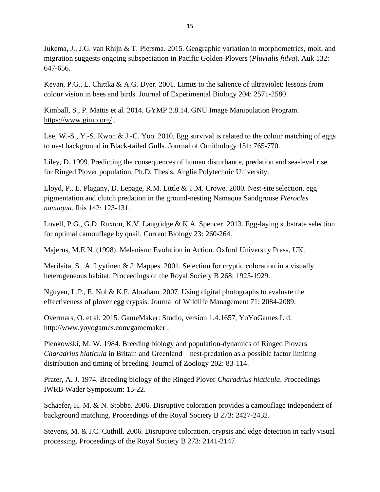Jukema, J., J.G. van Rhijn & T. Piersma. 2015. Geographic variation in morphometrics, molt, and migration suggests ongoing subspeciation in Pacific Golden-Plovers (*Pluvialis fulva*). Auk 132: 647-656.

Kevan, P.G., L. Chittka & A.G. Dyer. 2001. Limits to the salience of ultraviolet: lessons from colour vision in bees and birds. Journal of Experimental Biology 204: 2571-2580.

Kimball, S., P. Mattis et al. 2014. GYMP 2.8.14. GNU Image Manipulation Program. <https://www.gimp.org/> .

Lee, W.-S., Y.-S. Kwon & J.-C. Yoo. 2010. Egg survival is related to the colour matching of eggs to nest background in Black-tailed Gulls. Journal of Ornithology 151: 765-770.

Liley, D. 1999. Predicting the consequences of human disturbance, predation and sea-level rise for Ringed Plover population. Ph.D. Thesis, Anglia Polytechnic University.

Lloyd, P., E. Plagany, D. Lepage, R.M. Little & T.M. Crowe. 2000. Nest-site selection, egg pigmentation and clutch predation in the ground-nesting Namaqua Sandgrouse *Pterocles namaqua*. Ibis 142: 123-131.

Lovell, P.G., G.D. Ruxton, K.V. Langridge & K.A. Spencer. 2013. Egg-laying substrate selection for optimal camouflage by quail. Current Biology 23: 260-264.

Majerus, M.E.N. (1998). Melanism: Evolution in Action. Oxford University Press, UK.

Merilaita, S., A. Lyytinen & J. Mappes. 2001. Selection for cryptic coloration in a visually heterogeneous habitat. Proceedings of the Royal Society B 268: 1925-1929.

Nguyen, L.P., E. Nol & K.F. Abraham. 2007. Using digital photographs to evaluate the effectiveness of plover egg crypsis. Journal of Wildlife Management 71: 2084-2089.

Overmars, O. et al. 2015. GameMaker: Studio, version 1.4.1657, YoYoGames Ltd, <http://www.yoyogames.com/gamemaker> .

Pienkowski, M. W. 1984. Breeding biology and population-dynamics of Ringed Plovers *Charadrius hiaticula* in Britain and Greenland – nest-predation as a possible factor limiting distribution and timing of breeding. Journal of Zoology 202: 83-114.

Prater, A. J. 1974. Breeding biology of the Ringed Plover *Charadrius hiaticula*. Proceedings IWRB Wader Symposium: 15-22.

Schaefer, H. M. & N. Stobbe. 2006. Disruptive coloration provides a camouflage independent of background matching. Proceedings of the Royal Society B 273: 2427-2432.

Stevens, M. & I.C. Cuthill. 2006. Disruptive coloration, crypsis and edge detection in early visual processing. Proceedings of the Royal Society B 273: 2141-2147.